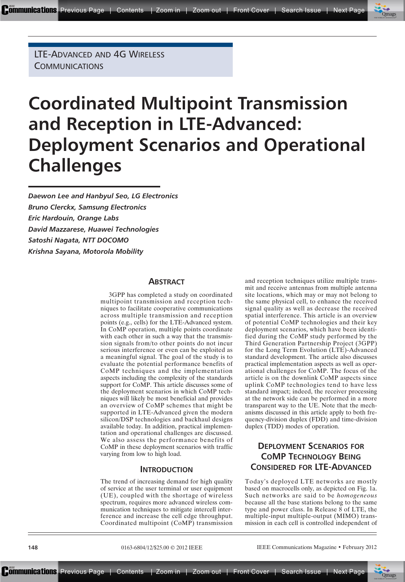LTE-ADVANCED AND 4G WIRELESS COMMUNICATIONS

# **Coordinated Multipoint Transmission and Reception in LTE-Advanced: Deployment Scenarios and Operational Challenges**

*Daewon Lee and Hanbyul Seo, LG Electronics Bruno Clerckx, Samsung Electronics Eric Hardouin, Orange Labs David Mazzarese, Huawei Technologies Satoshi Nagata, NTT DOCOMO Krishna Sayana, Motorola Mobility*

## **ABSTRACT**

3GPP has completed a study on coordinated multipoint transmission and reception techniques to facilitate cooperative communications across multiple transmission and reception points (e.g., cells) for the LTE-Advanced system. In CoMP operation, multiple points coordinate with each other in such a way that the transmission signals from/to other points do not incur serious interference or even can be exploited as a meaningful signal. The goal of the study is to evaluate the potential performance benefits of CoMP techniques and the implementation aspects including the complexity of the standards support for CoMP. This article discusses some of the deployment scenarios in which CoMP techniques will likely be most beneficial and provides an overview of CoMP schemes that might be supported in LTE-Advanced given the modern silicon/DSP technologies and backhaul designs available today. In addition, practical implementation and operational challenges are discussed. We also assess the performance benefits of CoMP in these deployment scenarios with traffic varying from low to high load.

## **INTRODUCTION**

The trend of increasing demand for high quality of service at the user terminal or user equipment (UE), coupled with the shortage of wireless spectrum, requires more advanced wireless communication techniques to mitigate intercell interference and increase the cell edge throughput. Coordinated multipoint (CoMP) transmission

and reception techniques utilize multiple transmit and receive antennas from multiple antenna site locations, which may or may not belong to the same physical cell, to enhance the received signal quality as well as decrease the received spatial interference. This article is an overview of potential CoMP technologies and their key deployment scenarios, which have been identified during the CoMP study performed by the Third Generation Partnership Project (3GPP) for the Long Term Evolution (LTE)-Advanced standard development. The article also discusses practical implementation aspects as well as operational challenges for CoMP. The focus of the article is on the downlink CoMP aspects since uplink CoMP technologies tend to have less standard impact; indeed, the receiver processing at the network side can be performed in a more transparent way to the UE. Note that the mechanisms discussed in this article apply to both frequency-division duplex (FDD) and time-division duplex (TDD) modes of operation.

 $\overline{\phantom{a}}$  $\frac{1}{\sqrt{2}}$  $\overline{\phantom{a}}$  $\bullet$  .  $\bullet$  $\bullet$ 

Qmags THE WORLD'S NEWSSTAND®

# **DEPLOYMENT SCENARIOS FOR COMP TECHNOLOGY BEING CONSIDERED FOR LTE-ADVANCED**

Today's deployed LTE networks are mostly based on macrocells only, as depicted on Fig. 1a. Such networks are said to be *homogeneous* because all the base stations belong to the same type and power class. In Release 8 of LTE, the multiple-input multiple-output (MIMO) transmission in each cell is controlled independent of

**148** 148 0163-6804/12/\$25.00 © 2012 IEEE 1EEE Communications Magazine • February 2012

 $\overline{\phantom{a}}$ Qmags  $\overline{\phantom{a}}$  $\bullet$  .  $\bullet$  $\bullet$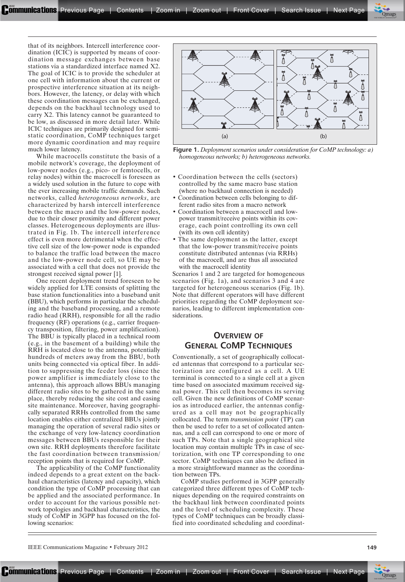

that of its neighbors. Intercell interference coordination (ICIC) is supported by means of coordination message exchanges between base stations via a standardized interface named X2. The goal of ICIC is to provide the scheduler at one cell with information about the current or prospective interference situation at its neighbors. However, the latency, or delay with which these coordination messages can be exchanged, depends on the backhaul technology used to carry X2. This latency cannot be guaranteed to be low, as discussed in more detail later. While ICIC techniques are primarily designed for semistatic coordination, CoMP techniques target more dynamic coordination and may require much lower latency.

While macrocells constitute the basis of a mobile network's coverage, the deployment of low-power nodes (e.g., pico- or femtocells, or relay nodes) within the macrocell is foreseen as a widely used solution in the future to cope with the ever increasing mobile traffic demands. Such networks, called *heterogeneous networks*, are characterized by harsh intercell interference between the macro and the low-power nodes, due to their closer proximity and different power classes. Heterogeneous deployments are illustrated in Fig. 1b. The intercell interference effect is even more detrimental when the effective cell size of the low-power node is expanded to balance the traffic load between the macro and the low-power node cell, so UE may be associated with a cell that does not provide the strongest received signal power [1].

One recent deployment trend foreseen to be widely applied for LTE consists of splitting the base station functionalities into a baseband unit (BBU), which performs in particular the scheduling and the baseband processing, and a remote radio head (RRH), responsible for all the radio frequency (RF) operations (e.g., carrier frequency transposition, filtering, power amplification). The BBU is typically placed in a technical room (e.g., in the basement of a building) while the RRH is located close to the antenna, potentially hundreds of meters away from the BBU, both units being connected via optical fiber. In addition to suppressing the feeder loss (since the power amplifier is immediately close to the antenna), this approach allows BBUs managing different radio sites to be gathered in the same place, thereby reducing the site cost and easing site maintenance. Moreover, having geographically separated RRHs controlled from the same location enables either centralized BBUs jointly managing the operation of several radio sites or the exchange of very low-latency coordination messages between BBUs responsible for their own site. RRH deployments therefore facilitate the fast coordination between transmission/ reception points that is required for CoMP.

The applicability of the CoMP functionality indeed depends to a great extent on the backhaul characteristics (latency and capacity), which condition the type of CoMP processing that can be applied and the associated performance. In order to account for the various possible network topologies and backhaul characteristics, the study of CoMP in 3GPP has focused on the following scenarios:



**Figure 1.** *Deployment scenarios under consideration for CoMP technology: a) homogeneous networks; b) heterogeneous networks.*

- Coordination between the cells (sectors) controlled by the same macro base station (where no backhaul connection is needed)
- Coordination between cells belonging to different radio sites from a macro network
- Coordination between a macrocell and lowpower transmit/receive points within its coverage, each point controlling its own cell (with its own cell identity)
- The same deployment as the latter, except that the low-power transmit/receive points constitute distributed antennas (via RRHs) of the macrocell, and are thus all associated with the macrocell identity

Scenarios 1 and 2 are targeted for homogeneous scenarios (Fig. 1a), and scenarios 3 and 4 are targeted for heterogeneous scenarios (Fig. 1b). Note that different operators will have different priorities regarding the CoMP deployment scenarios, leading to different implementation considerations.

# **OVERVIEW OF GENERAL COMP TECHNIQUES**

Conventionally, a set of geographically collocated antennas that correspond to a particular sectorization are configured as a cell. A UE terminal is connected to a single cell at a given time based on associated maximum received signal power. This cell then becomes its serving cell. Given the new definitions of CoMP scenarios as introduced earlier, the antennas configured as a cell may not be geographically collocated. The term *transmission point* (TP) can then be used to refer to a set of collocated antennas, and a cell can correspond to one or more of such TPs. Note that a single geographical site location may contain multiple TPs in case of sectorization, with one TP corresponding to one sector. CoMP techniques can also be defined in a more straightforward manner as the coordination between TPs.

CoMP studies performed in 3GPP generally categorized three different types of CoMP techniques depending on the required constraints on the backhaul link between coordinated points and the level of scheduling complexity. These types of CoMP techniques can be broadly classified into coordinated scheduling and coordinat-

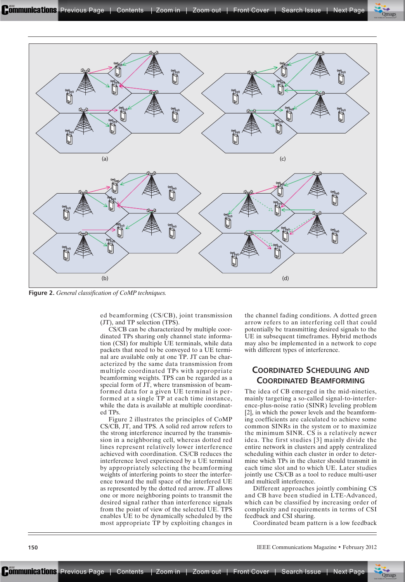



**Figure 2.** *General classification of CoMP techniques.*

ed beamforming (CS/CB), joint transmission (JT), and TP selection (TPS).

CS/CB can be characterized by multiple coordinated TPs sharing only channel state information (CSI) for multiple UE terminals, while data packets that need to be conveyed to a UE terminal are available only at one TP. JT can be characterized by the same data transmission from multiple coordinated TPs with appropriate beamforming weights. TPS can be regarded as a special form of JT, where transmission of beamformed data for a given UE terminal is performed at a single TP at each time instance, while the data is available at multiple coordinated TPs.

Figure 2 illustrates the principles of CoMP CS/CB, JT, and TPS. A solid red arrow refers to the strong interference incurred by the transmission in a neighboring cell, whereas dotted red lines represent relatively lower interference achieved with coordination. CS/CB reduces the interference level experienced by a UE terminal by appropriately selecting the beamforming weights of interfering points to steer the interference toward the null space of the interfered UE as represented by the dotted red arrow. JT allows one or more neighboring points to transmit the desired signal rather than interference signals from the point of view of the selected UE. TPS enables UE to be dynamically scheduled by the most appropriate TP by exploiting changes in the channel fading conditions. A dotted green arrow refers to an interfering cell that could potentially be transmitting desired signals to the UE in subsequent timeframes. Hybrid methods may also be implemented in a network to cope with different types of interference.

# **COORDINATED SCHEDULING AND COORDINATED BEAMFORMING**

The idea of CB emerged in the mid-nineties, mainly targeting a so-called signal-to-interference-plus-noise ratio (SINR) leveling problem [2], in which the power levels and the beamforming coefficients are calculated to achieve some common SINRs in the system or to maximize the minimum SINR. CS is a relatively newer idea. The first studies [3] mainly divide the entire network in clusters and apply centralized scheduling within each cluster in order to determine which TPs in the cluster should transmit in each time slot and to which UE. Later studies jointly use CS/CB as a tool to reduce multi-user and multicell interference.

Different approaches jointly combining CS and CB have been studied in LTE-Advanced, which can be classified by increasing order of complexity and requirements in terms of CSI feedback and CSI sharing.

Coordinated beam pattern is a low feedback

**150** IEEE Communications Magazine • February 2012

 $\overline{\phantom{a}}$ Qmags  $\overline{\phantom{a}}$  $\bullet$  .  $\bullet$  $\bullet$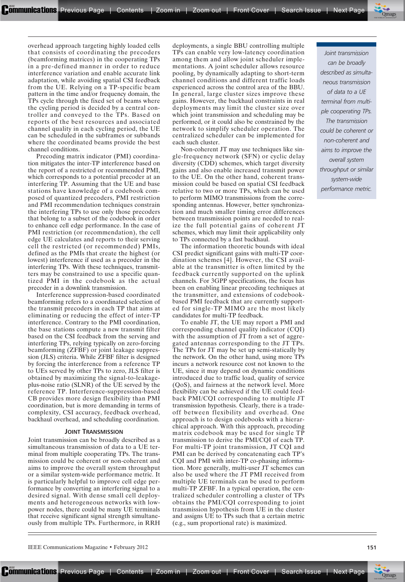

overhead approach targeting highly loaded cells that consists of coordinating the precoders (beamforming matrices) in the cooperating TPs in a pre-defined manner in order to reduce interference variation and enable accurate link adaptation, while avoiding spatial CSI feedback from the UE. Relying on a TP-specific beam pattern in the time and/or frequency domain, the TPs cycle through the fixed set of beams where the cycling period is decided by a central controller and conveyed to the TPs. Based on reports of the best resources and associated channel quality in each cycling period, the UE can be scheduled in the subframes or subbands where the coordinated beams provide the best channel conditions.

Precoding matrix indicator (PMI) coordination mitigates the inter-TP interference based on the report of a restricted or recommended PMI, which corresponds to a potential precoder at an interfering TP. Assuming that the UE and base stations have knowledge of a codebook composed of quantized precoders, PMI restriction and PMI recommendation techniques constrain the interfering TPs to use only those precoders that belong to a subset of the codebook in order to enhance cell edge performance. In the case of PMI restriction (or recommendation), the cell edge UE calculates and reports to their serving cell the restricted (or recommended) PMIs, defined as the PMIs that create the highest (or lowest) interference if used as a precoder in the interfering TPs. With these techniques, transmitters may be constrained to use a specific quantized PMI in the codebook as the actual precoder in a downlink transmission.

Interference suppression-based coordinated beamforming refers to a coordinated selection of the transmit precoders in each TP that aims at eliminating or reducing the effect of inter-TP interference. Contrary to the PMI coordination, the base stations compute a new transmit filter based on the CSI feedback from the serving and interfering TPs, relying typically on zero-forcing beamforming (ZFBF) or joint leakage suppression (JLS) criteria. While ZFBF filter is designed by forcing the interference from a reference TP to UEs served by other TPs to zero, JLS filter is obtained by maximizing the signal-to-leakageplus-noise ratio (SLNR) of the UE served by the reference TP. Interference-suppression-based CB provides more design flexibility than PMI coordination, but is more demanding in terms of complexity, CSI accuracy, feedback overhead, backhaul overhead, and scheduling coordination.

#### **JOINT TRANSMISSION**

Joint transmission can be broadly described as a simultaneous transmission of data to a UE terminal from multiple cooperating TPs. The transmission could be coherent or non-coherent and aims to improve the overall system throughput or a similar system-wide performance metric. It is particularly helpful to improve cell edge performance by converting an interfering signal to a desired signal. With dense small cell deployments and heterogeneous networks with lowpower nodes, there could be many UE terminals that receive significant signal strength simultaneously from multiple TPs. Furthermore, in RRH

deployments, a single BBU controlling multiple TPs can enable very low-latency coordination among them and allow joint scheduler implementations. A joint scheduler allows resource pooling, by dynamically adapting to short-term channel conditions and different traffic loads experienced across the control area of the BBU. In general, large cluster sizes improve these gains. However, the backhaul constraints in real deployments may limit the cluster size over which joint transmission and scheduling may be performed, or it could also be constrained by the network to simplify scheduler operation. The centralized scheduler can be implemented for each such cluster.

Non-coherent JT may use techniques like single-frequency network (SFN) or cyclic delay diversity (CDD) schemes, which target diversity gains and also enable increased transmit power to the UE. On the other hand, coherent transmission could be based on spatial CSI feedback relative to two or more TPs, which can be used to perform MIMO transmissions from the corresponding antennas. However, better synchronization and much smaller timing error differences between transmission points are needed to realize the full potential gains of coherent JT schemes, which may limit their applicability only to TPs connected by a fast backhaul.

The information theoretic bounds with ideal CSI predict significant gains with multi-TP coordination schemes [4]. However, the CSI available at the transmitter is often limited by the feedback currently supported on the uplink channels. For 3GPP specifications, the focus has been on enabling linear precoding techniques at the transmitter, and extensions of codebookbased PMI feedback that are currently supported for single-TP MIMO are the most likely candidates for multi-TP feedback.

To enable JT, the UE may report a PMI and corresponding channel quality indicator (CQI) with the assumption of  $JT$  from a set of aggregated antennas corresponding to the JT TPs. The TPs for JT may be set up semi-statically by the network. On the other hand, using more TPs incurs a network resource cost not known to the UE, since it may depend on dynamic conditions introduced due to traffic load, quality of service (QoS), and fairness at the network level. More flexibility can be achieved if the UE could feedback PMI/CQI corresponding to multiple JT transmission hypothesis. Clearly, there is a tradeoff between flexibility and overhead. One approach is to design codebooks with a hierarchical approach. With this approach, precoding matrix codebook may be used for single TP transmission to derive the PMI/CQI of each TP. For multi-TP joint transmission, JT CQI and PMI can be derived by concatenating each TP's CQI and PMI with inter-TP co-phasing information. More generally, multi-user JT schemes can also be used where the JT PMI received from multiple UE terminals can be used to perform multi-TP ZFBF. In a typical operation, the centralized scheduler controlling a cluster of TPs obtains the PMI/CQI corresponding to joint transmission hypothesis from UE in the cluster and assigns UE to TPs such that a certain metric (e.g., sum proportional rate) is maximized.

*Joint transmission can be broadly described as simultaneous transmission of data to a UE terminal from multiple cooperating TPs. The transmission could be coherent or non-coherent and aims to improve the overall system throughput or similar system-wide performance metric.*

 $\overline{\phantom{a}}$ 

 $\bullet$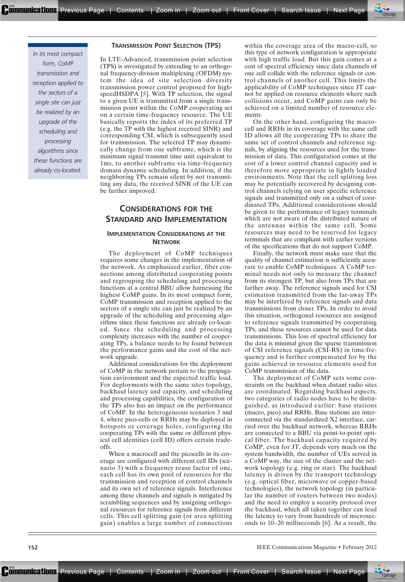

#### **TRANSMISSION POINT SELECTION (TPS)**

In LTE-Advanced, transmission point selection (TPS) is investigated by extending to an orthogonal frequency-division multiplexing (OFDM) system the idea of site selection diversity transmission power control proposed for highspeedHSDPA [5]. With TP selection, the signal to a given UE is transmitted from a single transmission point within the CoMP cooperating set on a certain time-frequency resource. The UE basically reports the index of its preferred TP (e.g. the TP with the highest received SINR) and corresponding CSI, which is subsequently used for transmission. The selected TP may dynamically change from one subframe, which is the minimum signal transmit time unit equivalent to 1ms, to another subframe via time-frequency domain dynamic scheduling. In addition, if the neighboring TPs remain silent by not transmitting any data, the received SINR of the UE can be further improved.

# **CONSIDERATIONS FOR THE STANDARD AND IMPLEMENTATION**

### **IMPLEMENTATION CONSIDERATIONS AT THE NETWORK**

The deployment of CoMP techniques requires some changes in the implementation of the network. As emphasized earlier, fiber connections among distributed cooperating points and regrouping the scheduling and processing functions at a central BBU allow harnessing the highest CoMP gains. In its most compact form, CoMP transmission and reception applied to the sectors of a single site can just be realized by an upgrade of the scheduling and processing algorithms since these functions are already co-located. Since the scheduling and processing complexity increases with the number of cooperating TPs, a balance needs to be found between the performance gains and the cost of the network upgrade.

Additional considerations for the deployment of CoMP in the network pertain to the propagation environment and the expected traffic load. For deployments with the same sites topology, backhaul latency and capacity, and scheduling and processing capabilities, the configuration of the TPs also has an impact on the performance of CoMP. In the heterogeneous scenarios 3 and 4, where pico-cells or RRHs may be deployed in hotspots or coverage holes, configuring the cooperating TPs with the same or different physical cell identities (cell ID) offers certain tradeoffs.

When a macrocell and the picocells in its coverage are configured with different cell IDs (scenario 3) with a frequency reuse factor of one, each cell has its own pool of resources for the transmission and reception of control channels and its own set of reference signals. Interference among these channels and signals is mitigated by scrambling sequences and by assigning orthogonal resources for reference signals from different cells. This cell splitting gain (or area splitting gain) enables a large number of connections

within the coverage area of the macro-cell, so this type of network configuration is appropriate with high traffic load. But this gain comes at a cost of spectral efficiency since data channels of one cell collide with the reference signals or control channels of another cell. This limits the applicability of CoMP techniques since JT cannot be applied on resource elements where such collisions occur, and CoMP gains can only be achieved on a limited number of resource elements.

 $\overline{\phantom{a}}$  $\frac{1}{\sqrt{2}}$  $\overline{\phantom{a}}$  $\bullet$  .  $\bullet$  $\bullet$ 

Qmags THE WORLD'S NEWSSTAND®

On the other hand, configuring the macrocell and RRHs in its coverage with the same cell ID allows all the cooperating TPs to share the same set of control channels and reference signals, by aligning the resources used for the transmission of data. This configuration comes at the cost of a lower control channel capacity and is therefore more appropriate in lightly loaded environments. Note that the cell splitting loss may be potentially recovered by designing control channels relying on user specific reference signals and transmitted only on a subset of coordinated TPs. Additional considerations should be given to the performance of legacy terminals which are not aware of the distributed nature of the antennas within the same cell. Some resources may need to be reserved for legacy terminals that are compliant with earlier versions of the specifications that do not support CoMP.

Finally, the network must make sure that the quality of channel estimation is sufficiently accurate to enable CoMP techniques. A CoMP terminal needs not only to measure the channel from its strongest TP, but also from TPs that are farther away. The reference signals used for CSI estimation transmitted from the far-away TPs may be interfered by reference signals and data transmissions from closer TPs. In order to avoid this situation, orthogonal resources are assigned to reference signals transmitted by cooperating TPs, and these resources cannot be used for data transmissions. This loss of spectral efficiency for the data is minimal given the sparse transmission of CSI reference signals (CSI-RS) in time/frequency and is further compensated for by the gains achieved in resource elements used for CoMP transmission of the data.

The deployment of CoMP sets some constraints on the backhaul when distant radio sites are coordinated. Regarding backhaul aspects, two categories of radio nodes have to be distinguished, as introduced earlier: base stations (macro, pico) and RRHs. Base stations are interconnected via the standardized X2 interface, carried over the backhaul network, whereas RRHs are connected to a BBU via point-to-point optical fiber. The backhaul capacity required by CoMP, even for JT, depends very much on the system bandwidth, the number of UEs served in a CoMP way, the size of the cluster and the network topology (e.g. ring or star). The backhaul latency is driven by the transport technology (e.g. optical fiber, microwave or copper-based technologies), the network topology (in particular the number of routers between two nodes) and the need to employ a security protocol over the backhaul, which all taken together can lead the latency to vary from hundreds of microseconds to 10–20 milliseconds [6]. As a result, the

**152** IEEE Communications Magazine • February 2012

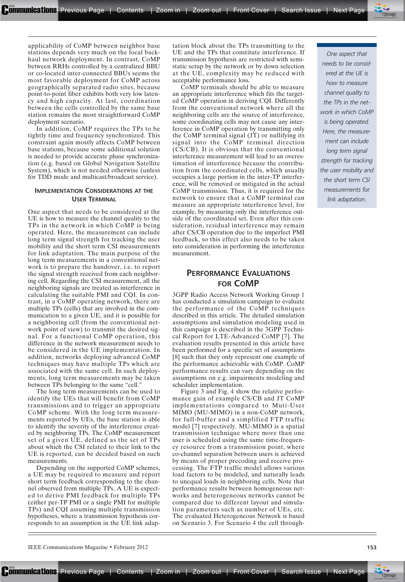

applicability of CoMP between neighbor base stations depends very much on the local backhaul network deployment. In contrast, CoMP between RRHs controlled by a centralized BBU or co-located inter-connected BBUs seems the most favorable deployment for CoMP across geographically separated radio sites, because point-to-point fiber exhibits both very low latency and high capacity. At last, coordination between the cells controlled by the same base station remains the most straightforward CoMP deployment scenario.

In addition, CoMP requires the TPs to be tightly time and frequency synchronized. This constraint again mostly affects CoMP between base stations, because some additional solution is needed to provide accurate phase synchronization (e.g. based on Global Navigation Satellite System), which is not needed otherwise (unless for TDD mode and multicast/broadcast service).

## **IMPLEMENTATION CONSIDERATIONS AT THE USER TERMINAL**

One aspect that needs to be considered at the UE is how to measure the channel quality to the TPs in the network in which CoMP is being operated. Here, the measurement can include long term signal strength for tracking the user mobility and the short term CSI measurements for link adaptation. The main purpose of the long term measurements in a conventional network is to prepare the handover, i.e. to report the signal strength received from each neighboring cell. Regarding the CSI measurement, all the neighboring signals are treated as interference in calculating the suitable PMI and CQI. In contrast, in a CoMP operating network, there are multiple TPs (cells) that are involved in the communication to a given UE, and it is possible for a neighboring cell (from the conventional network point of view) to transmit the desired signal. For a functional CoMP operation, this difference in the network measurement needs to be considered in the UE implementation. In addition, networks deploying advanced CoMP techniques may have multiple TPs which are associated with the same cell. In such deployments, long term measurements may be taken between TPs belonging to the same "cell."

The long term measurements can be used to identify the UEs that will benefit from CoMP transmissions and to trigger an appropriate CoMP scheme. With the long term measurements reported by UEs, the base station is able to identify the severity of the interference created by neighboring TPs. The CoMP measurement set of a given UE, defined as the set of TPs about which the CSI related to their link to the UE is reported, can be decided based on such measurements.

Depending on the supported CoMP schemes, a UE may be required to measure and report short term feedback corresponding to the channel observed from multiple TPs. A UE is expected to derive PMI feedback for multiple TPs (either per-TP PMI or a single PMI for multiple TPs) and CQI assuming multiple transmission hypotheses, where a transmission hypothesis corresponds to an assumption in the UE link adaptation block about the TPs transmitting to the UE and the TPs that constitute interference. If transmission hypothesis are restricted with semistatic setup by the network or by down selection at the UE, complexity may be reduced with acceptable performance loss.

CoMP terminals should be able to measure an appropriate interference which fits the targeted CoMP operation in deriving CQI. Differently from the conventional network where all the neighboring cells are the source of interference, some coordinating cells may not cause any interference in CoMP operation by transmitting only the CoMP terminal signal (JT) or nullifying its signal into the CoMP terminal direction (CS/CB). It is obvious that the conventional interference measurement will lead to an overestimation of interference because the contribution from the coordinated cells, which usually occupies a large portion in the inter-TP interference, will be removed or mitigated in the actual CoMP transmission. Thus, it is required for the network to ensure that a CoMP terminal can measure an appropriate interference level, for example, by measuring only the interference outside of the coordinated set. Even after this consideration, residual interference may remain after CS/CB operation due to the imperfect PMI feedback, so this effect also needs to be taken into consideration in performing the interference measurement.

# **PERFORMANCE EVALUATIONS FOR COMP**

3GPP Radio Access Network Working Group 1 has conducted a simulation campaign to evaluate the performance of the CoMP techniques described in this article. The detailed simulation assumptions and simulation modeling used in this campaign is described in the 3GPP Technical Report for LTE-Advanced CoMP [7]. The evaluation results presented in this article have been performed for a specific set of assumptions [8] such that they only represent one example of the performance achievable with CoMP. CoMP performance results can vary depending on the assumptions on e.g. impairments modeling and scheduler implementation.

Figure 3 and Fig. 4 show the relative performance gain of example CS/CB and JT CoMP implementations compared to Muti-User MIMO (MU-MIMO) in a non-CoMP network, for full-buffer and a simplified FTP traffic model [7] respectively. MU-MIMO is a spatial transmission technique where more than one user is scheduled using the same time-frequency resource from a transmission point, where co-channel separation between users is achieved by means of proper precoding and receive processing. The FTP traffic model allows various load factors to be modeled, and naturally leads to unequal loads in neighboring cells. Note that performance results between homogeneous networks and heterogeneous networks cannot be compared due to different layout and simulation parameters such as number of UEs, etc. The evaluated Heterogeneous Network is based on Scenario 3. For Scenario 4 the cell through-

*One aspect that needs to be considered at the UE is how to measure channel quality to the TPs in the network in which CoMP is being operated. Here, the measurement can include long term signal strength for tracking the user mobility and the short term CSI measurements for link adaptation.*

IEEE Communications Magazine • February 2012 **153**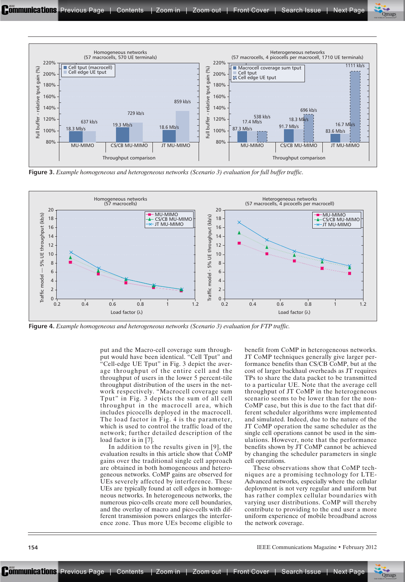

**Figure 3.** *Example homogeneous and heterogeneous networks (Scenario 3) evaluation for full buffer traffic.*



**Figure 4.** *Example homogeneous and heterogeneous networks (Scenario 3) evaluation for FTP traffic.*

put and the Macro-cell coverage sum throughput would have been identical. "Cell Tput" and "Cell-edge UE Tput" in Fig. 3 depict the average throughput of the entire cell and the throughput of users in the lower 5 percent-tile throughput distribution of the users in the network respectively. "Macrocell coverage sum Tput" in Fig. 3 depicts the sum of all cell throughput in the macrocell area, which includes picocells deployed in the macrocell. The load factor in Fig. 4 is the parameter, which is used to control the traffic load of the network; further detailed description of the load factor is in [7].

In addition to the results given in [9], the evaluation results in this article show that CoMP gains over the traditional single cell approach are obtained in both homogeneous and heterogeneous networks. CoMP gains are observed for UEs severely affected by interference. These UEs are typically found at cell edges in homogeneous networks. In heterogeneous networks, the numerous pico-cells create more cell boundaries, and the overlay of macro and pico-cells with different transmission powers enlarges the interference zone. Thus more UEs become eligible to

benefit from CoMP in heterogeneous networks. JT CoMP techniques generally give larger performance benefits than CS/CB CoMP, but at the cost of larger backhaul overheads as JT requires TPs to share the data packet to be transmitted to a particular UE. Note that the average cell throughput of JT CoMP in the heterogeneous scenario seems to be lower than for the non-CoMP case, but this is due to the fact that different scheduler algorithms were implemented and simulated. Indeed, due to the nature of the JT CoMP operation the same scheduler as the single cell operations cannot be used in the simulations. However, note that the performance benefits shown by JT CoMP cannot be achieved by changing the scheduler parameters in single cell operations.

 $\overline{\phantom{a}}$  $\frac{1}{\sqrt{2}}$  $\overline{\phantom{a}}$  $\bullet$  .  $\bullet$  $\bullet$ 

These observations show that CoMP techniques are a promising technology for LTE-Advanced networks, especially where the cellular deployment is not very regular and uniform but has rather complex cellular boundaries with varying user distributions. CoMP will thereby contribute to providing to the end user a more uniform experience of mobile broadband across the network coverage.

**154** IEEE Communications Magazine • February 2012

 $\overline{\phantom{a}}$ Qmags  $\overline{\phantom{a}}$  $\bullet$  .  $\bullet$  $\bullet$